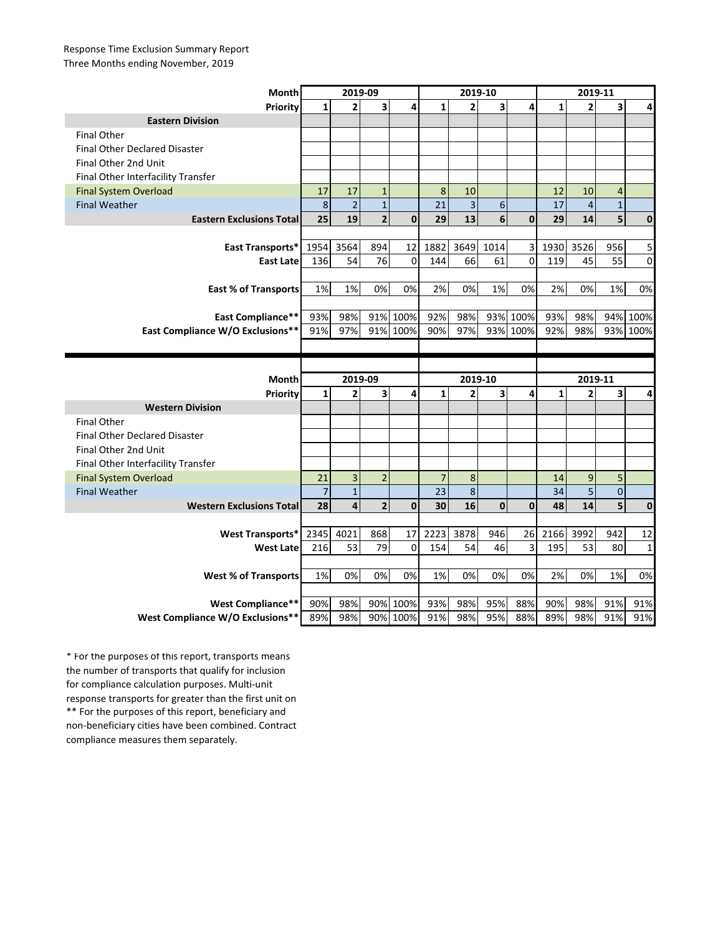## Response Time Exclusion Summary Report Three Months ending November, 2019

| Month                                | 2019-09        |                           |                         |                         | 2019-10        |                           |                         |              | 2019-11      |                           |              |              |
|--------------------------------------|----------------|---------------------------|-------------------------|-------------------------|----------------|---------------------------|-------------------------|--------------|--------------|---------------------------|--------------|--------------|
| Priority                             | $\mathbf{1}$   | $\overline{2}$            | $\overline{\mathbf{3}}$ | 4                       | $\mathbf{1}$   | $\overline{2}$            | $\overline{\mathbf{3}}$ | 4            | $\mathbf{1}$ | $\overline{2}$            | 3            | 4            |
| <b>Eastern Division</b>              |                |                           |                         |                         |                |                           |                         |              |              |                           |              |              |
| <b>Final Other</b>                   |                |                           |                         |                         |                |                           |                         |              |              |                           |              |              |
| <b>Final Other Declared Disaster</b> |                |                           |                         |                         |                |                           |                         |              |              |                           |              |              |
| Final Other 2nd Unit                 |                |                           |                         |                         |                |                           |                         |              |              |                           |              |              |
| Final Other Interfacility Transfer   |                |                           |                         |                         |                |                           |                         |              |              |                           |              |              |
| <b>Final System Overload</b>         | 17             | 17                        | $\mathbf{1}$            |                         | 8              | 10                        |                         |              | 12           | 10                        | 4            |              |
| <b>Final Weather</b>                 | $\,$ 8 $\,$    | $\overline{c}$            | $\mathbf 1$             |                         | 21             | $\overline{3}$            | 6                       |              | 17           | $\overline{\mathbf{4}}$   | $\mathbf{1}$ |              |
| <b>Eastern Exclusions Total</b>      | 25             | 19                        | $\overline{2}$          | $\mathbf{0}$            | 29             | 13                        | 6                       | $\mathbf{0}$ | 29           | 14                        | 5            | $\mathbf 0$  |
|                                      |                |                           |                         |                         |                |                           |                         |              |              |                           |              |              |
| East Transports*                     | 1954           | 3564                      | 894                     | 12                      | 1882           | 3649                      | 1014                    | 3            | 1930         | 3526                      | 956          | 5            |
| <b>East Late</b>                     | 136            | 54                        | 76                      | $\mathbf 0$             | 144            | 66                        | 61                      | 0            | 119          | 45                        | 55           | 0            |
|                                      |                |                           |                         |                         |                |                           |                         |              |              |                           |              |              |
| <b>East % of Transports</b>          | 1%             | 1%                        | 0%                      | 0%                      | 2%             | 0%                        | 1%                      | 0%           | 2%           | 0%                        | 1%           | 0%           |
|                                      |                |                           |                         |                         |                |                           |                         |              |              |                           |              |              |
| <b>East Compliance**</b>             | 93%            | 98%                       |                         | 91% 100%                | 92%            | 98%                       |                         | 93% 100%     | 93%          | 98%                       | 94%          | 100%         |
| East Compliance W/O Exclusions**     | 91%            | 97%                       |                         | 91% 100%                | 90%            | 97%                       |                         | 93% 100%     | 92%          | 98%                       |              | 93% 100%     |
|                                      |                |                           |                         |                         |                |                           |                         |              |              |                           |              |              |
|                                      |                |                           |                         |                         |                |                           |                         |              |              |                           |              |              |
|                                      |                |                           |                         |                         |                |                           |                         |              |              |                           |              |              |
| Month                                |                |                           |                         |                         |                |                           |                         |              |              |                           |              |              |
| Priority                             | $\mathbf{1}$   | 2019-09<br>$\overline{2}$ | 3                       | $\overline{\mathbf{A}}$ | $\mathbf{1}$   | 2019-10<br>$\overline{2}$ | 3                       | 4            | $\mathbf{1}$ | 2019-11<br>$\overline{2}$ | 3            | 4            |
| <b>Western Division</b>              |                |                           |                         |                         |                |                           |                         |              |              |                           |              |              |
| <b>Final Other</b>                   |                |                           |                         |                         |                |                           |                         |              |              |                           |              |              |
| <b>Final Other Declared Disaster</b> |                |                           |                         |                         |                |                           |                         |              |              |                           |              |              |
| Final Other 2nd Unit                 |                |                           |                         |                         |                |                           |                         |              |              |                           |              |              |
| Final Other Interfacility Transfer   |                |                           |                         |                         |                |                           |                         |              |              |                           |              |              |
| <b>Final System Overload</b>         | 21             | 3                         | $\overline{2}$          |                         | $\overline{7}$ | 8                         |                         |              | 14           | 9                         | 5            |              |
| <b>Final Weather</b>                 | $\overline{7}$ | $\overline{1}$            |                         |                         | 23             | $\bf 8$                   |                         |              | 34           | 5                         | $\mathbf 0$  |              |
| <b>Western Exclusions Total</b>      | 28             | $\overline{\mathbf{4}}$   | $\overline{\mathbf{2}}$ | $\mathbf 0$             | 30             | 16                        | $\mathbf 0$             | $\mathbf 0$  | 48           | 14                        | 5            | $\mathbf 0$  |
|                                      |                |                           |                         |                         |                |                           |                         |              |              |                           |              |              |
| <b>West Transports*</b>              | 2345           | 4021                      | 868                     | 17                      | 2223           | 3878                      | 946                     | 26           | 2166         | 3992                      | 942          | 12           |
| <b>West Late</b>                     | 216            | 53                        | 79                      | 0                       | 154            | 54                        | 46                      | 3            | 195          | 53                        | 80           | $\mathbf{1}$ |
|                                      |                |                           |                         |                         |                |                           |                         |              |              |                           |              |              |
| <b>West % of Transports</b>          | $1\%$          | 0%                        | 0%                      | 0%                      | 1%             | 0%                        | 0%                      | 0%           | 2%           | 0%                        | 1%           | 0%           |
|                                      |                |                           |                         |                         |                |                           |                         |              |              |                           |              |              |
| West Compliance**                    | 90%            | 98%                       |                         | 90% 100%                | 93%            | 98%                       | 95%                     | 88%          | 90%          | 98%                       | 91%          | 91%          |

\*\* For the purposes of this report, beneficiary and non-beneficiary cities have been combined. Contract compliance measures them separately. \* For the purposes of this report, transports means the number of transports that qualify for inclusion for compliance calculation purposes. Multi-unit response transports for greater than the first unit on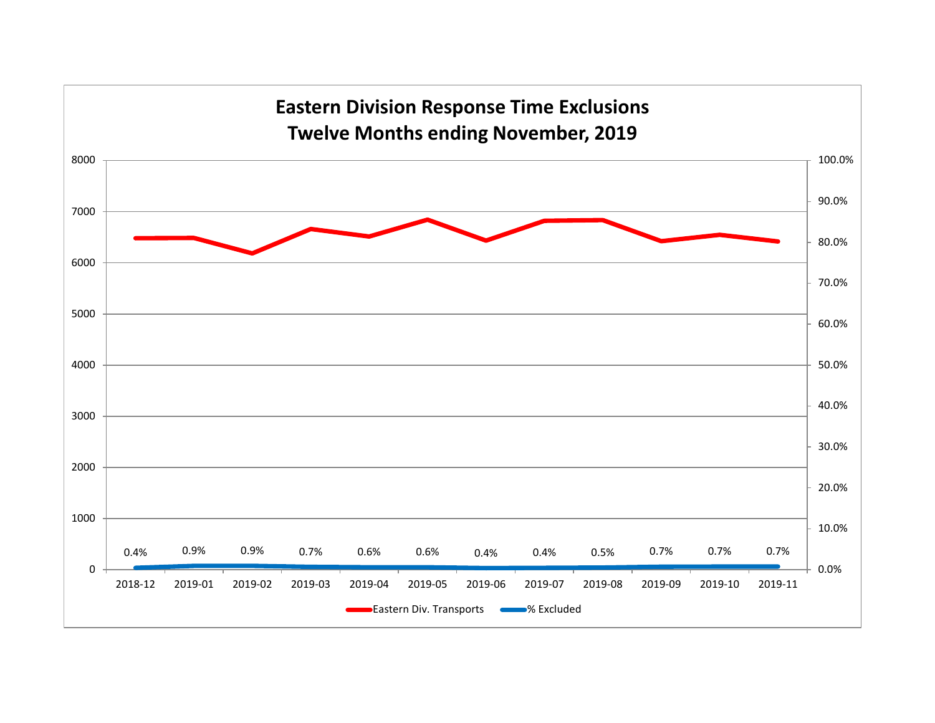